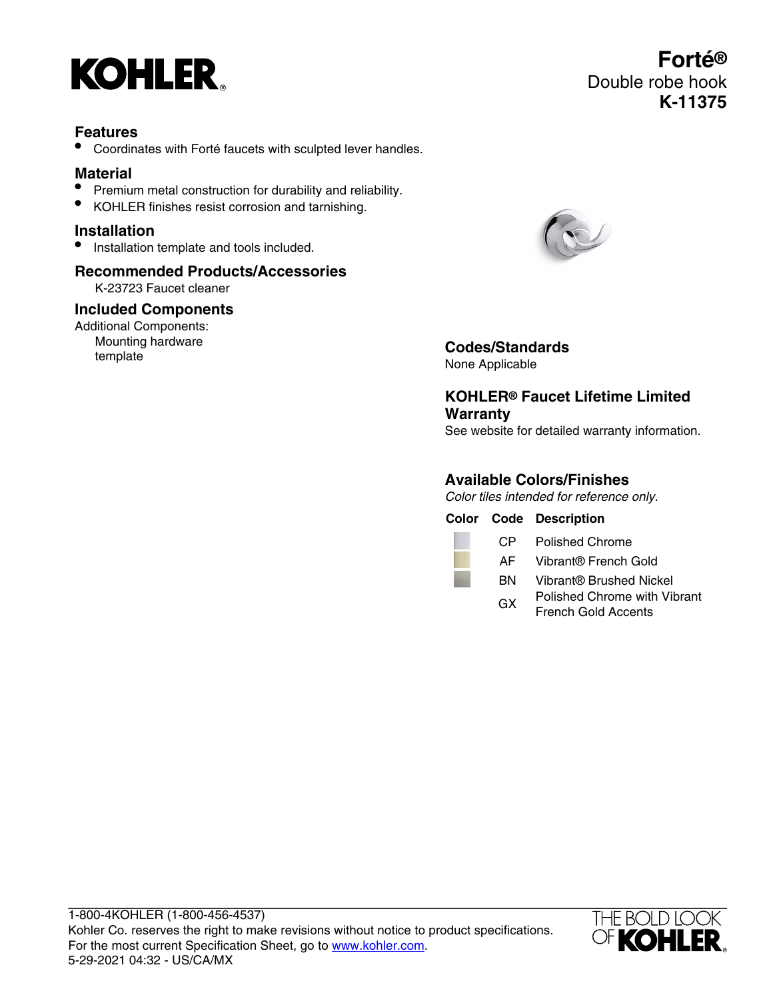

## **Features**

• Coordinates with Forté faucets with sculpted lever handles.

# **Material**

- Premium metal construction for durability and reliability.
- KOHLER finishes resist corrosion and tarnishing.

### **Installation**

• Installation template and tools included.

# **Recommended Products/Accessories**

K-23723 Faucet cleaner

#### **Included Components**

Additional Components: Mounting hardware **Mounting naroware Codes/Standards**<br> **Codes/Standards** 



None Applicable

# **KOHLER® Faucet Lifetime Limited Warranty**

See website for detailed warranty information.

## **Available Colors/Finishes**

Color tiles intended for reference only.

**Color Code Description**

CP Polished Chrome

- AF Vibrant® French Gold
- BN Vibrant® Brushed Nickel
- GX Polished Chrome with Vibrant French Gold Accents

1-800-4KOHLER (1-800-456-4537) Kohler Co. reserves the right to make revisions without notice to product specifications. For the most current Specification Sheet, go to [www.kohler.com](http://www.kohler.com). 5-29-2021 04:32 - US/CA/MX